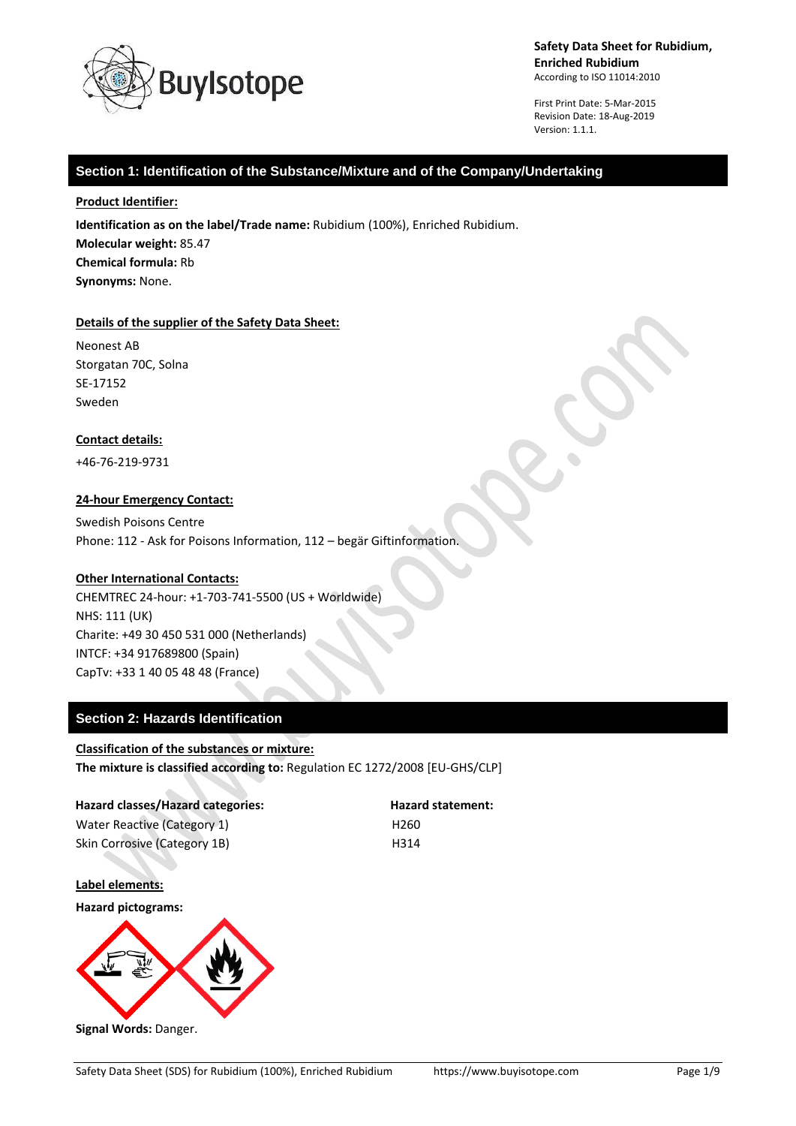

First Print Date: 5-Mar-2015 Revision Date: 18-Aug-2019 Version: 1.1.1.

# **Section 1: Identification of the Substance/Mixture and of the Company/Undertaking**

### **Product Identifier:**

**Identification as on the label/Trade name:** Rubidium (100%), Enriched Rubidium. **Molecular weight:** 85.47 **Chemical formula:** Rb **Synonyms:** None.

## **Details of the supplier of the Safety Data Sheet:**

Neonest AB Storgatan 70C, Solna SE-17152 Sweden

## **Contact details:**

+46-76-219-9731

## **24-hour Emergency Contact:**

Swedish Poisons Centre Phone: 112 - Ask for Poisons Information, 112 – begär Giftinformation.

## **Other International Contacts:**

CHEMTREC 24-hour: +1-703-741-5500 (US + Worldwide) NHS: 111 (UK) Charite: +49 30 450 531 000 (Netherlands) INTCF: +34 917689800 (Spain) CapTv: +33 1 40 05 48 48 (France)

# **Section 2: Hazards Identification**

## **Classification of the substances or mixture:**

**The mixture is classified according to:** Regulation EC 1272/2008 [EU-GHS/CLP]

| Hazard classes/Hazard categories: | <b>Hazard statement:</b> |
|-----------------------------------|--------------------------|
| Water Reactive (Category 1)       | H260                     |
| Skin Corrosive (Category 1B)      | H314                     |

**Label elements:**

**Hazard pictograms:**



**Signal Words:** Danger.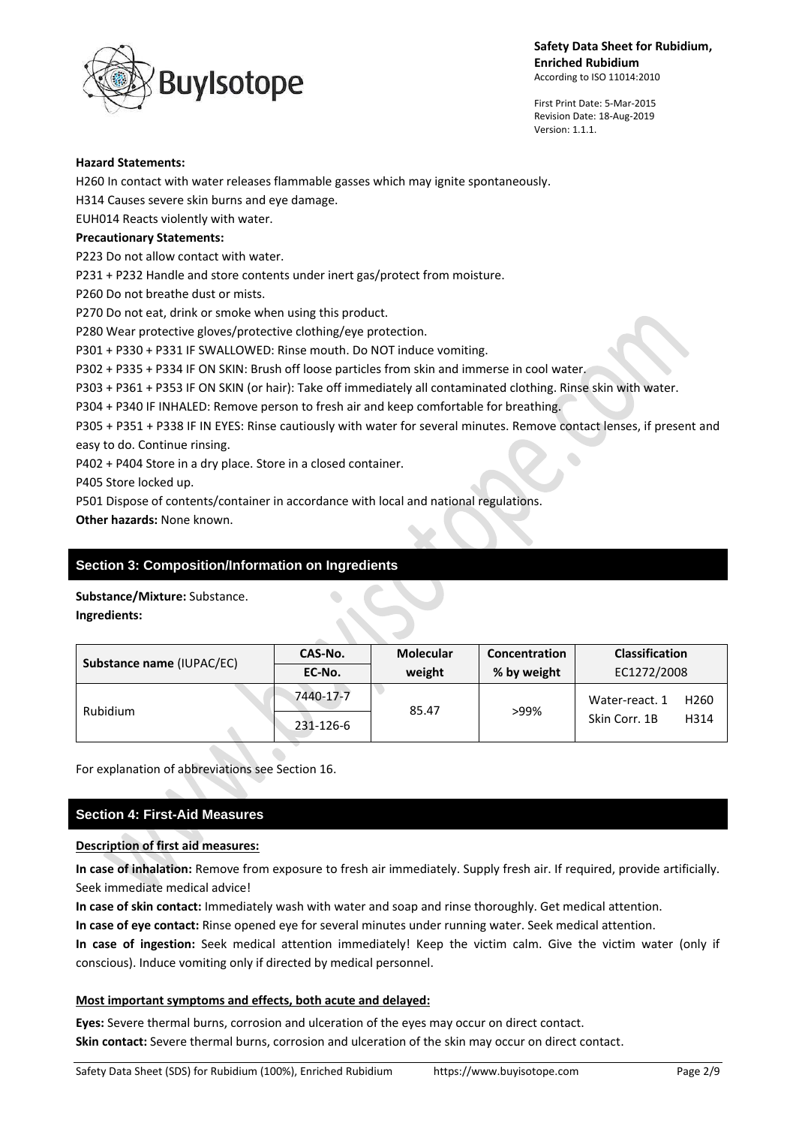

First Print Date: 5-Mar-2015 Revision Date: 18-Aug-2019 Version: 1.1.1.

#### **Hazard Statements:**

H260 In contact with water releases flammable gasses which may ignite spontaneously.

H314 Causes severe skin burns and eye damage.

EUH014 Reacts violently with water.

### **Precautionary Statements:**

P223 Do not allow contact with water.

P231 + P232 Handle and store contents under inert gas/protect from moisture.

P260 Do not breathe dust or mists.

P270 Do not eat, drink or smoke when using this product.

P280 Wear protective gloves/protective clothing/eye protection.

P301 + P330 + P331 IF SWALLOWED: Rinse mouth. Do NOT induce vomiting.

P302 + P335 + P334 IF ON SKIN: Brush off loose particles from skin and immerse in cool water.

P303 + P361 + P353 IF ON SKIN (or hair): Take off immediately all contaminated clothing. Rinse skin with water.

P304 + P340 IF INHALED: Remove person to fresh air and keep comfortable for breathing.

P305 + P351 + P338 IF IN EYES: Rinse cautiously with water for several minutes. Remove contact lenses, if present and easy to do. Continue rinsing.

P402 + P404 Store in a dry place. Store in a closed container.

P405 Store locked up.

P501 Dispose of contents/container in accordance with local and national regulations.

**Other hazards:** None known.

# **Section 3: Composition/Information on Ingredients**

**Substance/Mixture:** Substance.

**Ingredients:**

| Substance name (IUPAC/EC) | CAS-No.   | <b>Molecular</b> | Concentration | <b>Classification</b>              |
|---------------------------|-----------|------------------|---------------|------------------------------------|
|                           | EC-No.    | weight           | % by weight   | EC1272/2008                        |
| Rubidium                  | 7440-17-7 | 85.47            | >99%          | Water-react. 1<br>H <sub>260</sub> |
|                           | 231-126-6 |                  |               | Skin Corr. 1B<br>H314              |

For explanation of abbreviations see Section 16.

# **Section 4: First-Aid Measures**

## **Description of first aid measures:**

**In case of inhalation:** Remove from exposure to fresh air immediately. Supply fresh air. If required, provide artificially. Seek immediate medical advice!

**In case of skin contact:** Immediately wash with water and soap and rinse thoroughly. Get medical attention.

**In case of eye contact:** Rinse opened eye for several minutes under running water. Seek medical attention.

**In case of ingestion:** Seek medical attention immediately! Keep the victim calm. Give the victim water (only if conscious). Induce vomiting only if directed by medical personnel.

## **Most important symptoms and effects, both acute and delayed:**

**Eyes:** Severe thermal burns, corrosion and ulceration of the eyes may occur on direct contact. **Skin contact:** Severe thermal burns, corrosion and ulceration of the skin may occur on direct contact.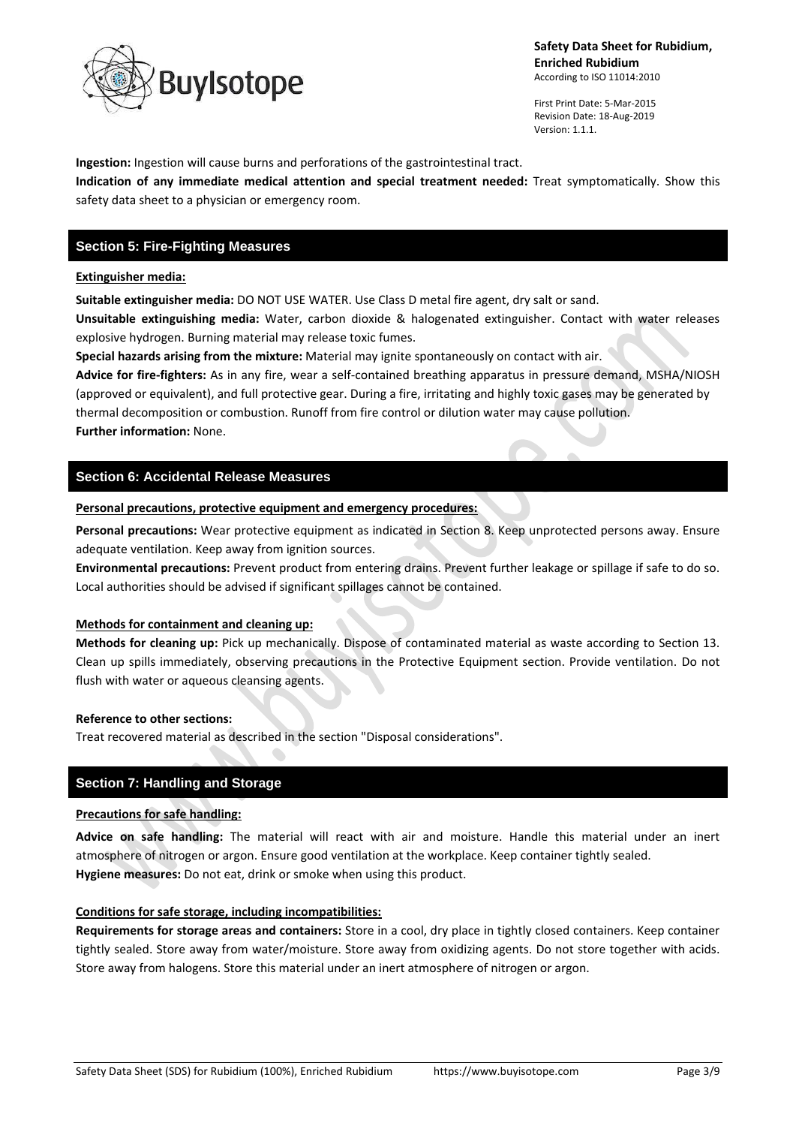

First Print Date: 5-Mar-2015 Revision Date: 18-Aug-2019 Version: 1.1.1.

**Ingestion:** Ingestion will cause burns and perforations of the gastrointestinal tract.

**Indication of any immediate medical attention and special treatment needed:** Treat symptomatically. Show this safety data sheet to a physician or emergency room.

# **Section 5: Fire-Fighting Measures**

#### **Extinguisher media:**

**Suitable extinguisher media:** DO NOT USE WATER. Use Class D metal fire agent, dry salt or sand.

**Unsuitable extinguishing media:** Water, carbon dioxide & halogenated extinguisher. Contact with water releases explosive hydrogen. Burning material may release toxic fumes.

**Special hazards arising from the mixture:** Material may ignite spontaneously on contact with air.

**Advice for fire-fighters:** As in any fire, wear a self-contained breathing apparatus in pressure demand, MSHA/NIOSH (approved or equivalent), and full protective gear. During a fire, irritating and highly toxic gases may be generated by thermal decomposition or combustion. Runoff from fire control or dilution water may cause pollution. **Further information:** None.

#### **Section 6: Accidental Release Measures**

**Personal precautions, protective equipment and emergency procedures:**

**Personal precautions:** Wear protective equipment as indicated in Section 8. Keep unprotected persons away. Ensure adequate ventilation. Keep away from ignition sources.

**Environmental precautions:** Prevent product from entering drains. Prevent further leakage or spillage if safe to do so. Local authorities should be advised if significant spillages cannot be contained.

#### **Methods for containment and cleaning up:**

**Methods for cleaning up:** Pick up mechanically. Dispose of contaminated material as waste according to Section 13. Clean up spills immediately, observing precautions in the Protective Equipment section. Provide ventilation. Do not flush with water or aqueous cleansing agents.

#### **Reference to other sections:**

Treat recovered material as described in the section "Disposal considerations".

## **Section 7: Handling and Storage**

#### **Precautions for safe handling:**

**Advice on safe handling:** The material will react with air and moisture. Handle this material under an inert atmosphere of nitrogen or argon. Ensure good ventilation at the workplace. Keep container tightly sealed. **Hygiene measures:** Do not eat, drink or smoke when using this product.

## **Conditions for safe storage, including incompatibilities:**

**Requirements for storage areas and containers:** Store in a cool, dry place in tightly closed containers. Keep container tightly sealed. Store away from water/moisture. Store away from oxidizing agents. Do not store together with acids. Store away from halogens. Store this material under an inert atmosphere of nitrogen or argon.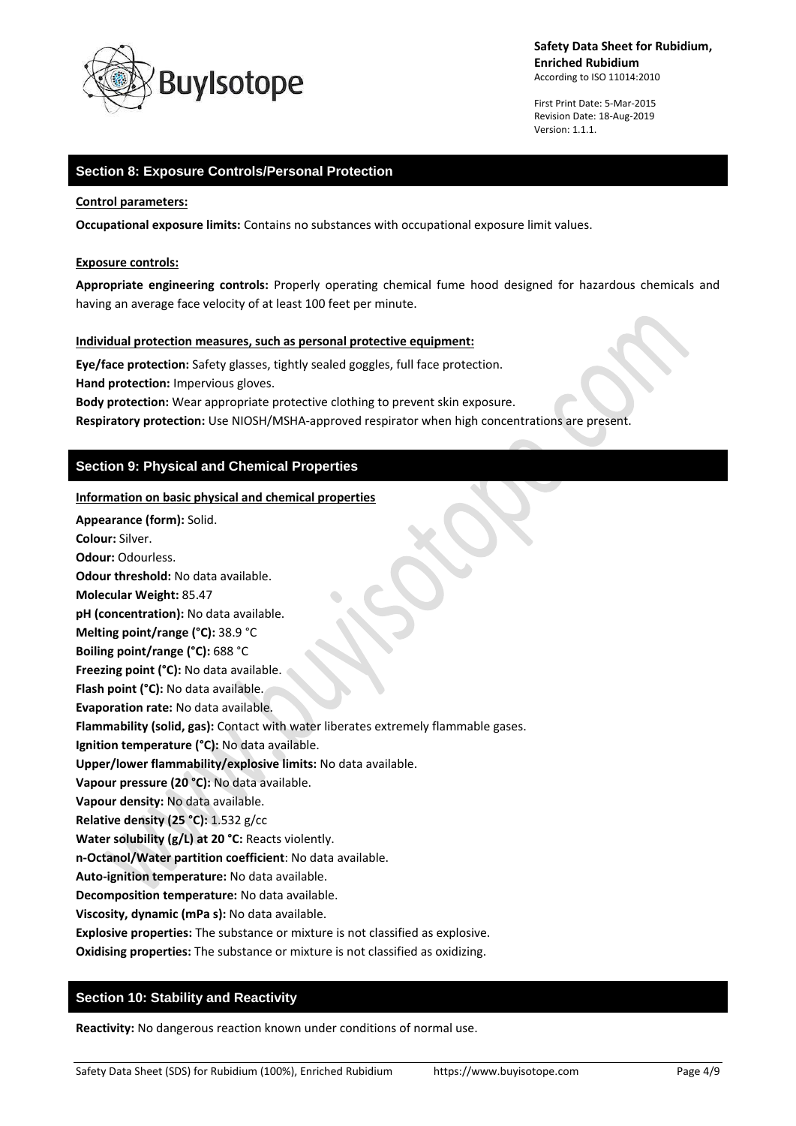

First Print Date: 5-Mar-2015 Revision Date: 18-Aug-2019 Version: 1.1.1.

# **Section 8: Exposure Controls/Personal Protection**

# **Control parameters:**

**Occupational exposure limits:** Contains no substances with occupational exposure limit values.

#### **Exposure controls:**

**Appropriate engineering controls:** Properly operating chemical fume hood designed for hazardous chemicals and having an average face velocity of at least 100 feet per minute.

#### **Individual protection measures, such as personal protective equipment:**

**Eye/face protection:** Safety glasses, tightly sealed goggles, full face protection. **Hand protection:** Impervious gloves. **Body protection:** Wear appropriate protective clothing to prevent skin exposure.

**Respiratory protection:** Use NIOSH/MSHA-approved respirator when high concentrations are present.

# **Section 9: Physical and Chemical Properties**

**Information on basic physical and chemical properties**

**Appearance (form):** Solid. **Colour:** Silver. **Odour:** Odourless. **Odour threshold:** No data available. **Molecular Weight:** 85.47 **pH (concentration):** No data available. **Melting point/range (°C):** 38.9 °C **Boiling point/range (°C):** 688 °C **Freezing point (°C):** No data available. **Flash point (°C):** No data available. **Evaporation rate:** No data available. **Flammability (solid, gas):** Contact with water liberates extremely flammable gases. **Ignition temperature (°C):** No data available. **Upper/lower flammability/explosive limits:** No data available. **Vapour pressure (20 °C):** No data available. **Vapour density:** No data available. **Relative density (25 °C):** 1.532 g/cc **Water solubility (g/L) at 20 °C:** Reacts violently. **n-Octanol/Water partition coefficient**: No data available. **Auto-ignition temperature:** No data available. **Decomposition temperature:** No data available. **Viscosity, dynamic (mPa s):** No data available. **Explosive properties:** The substance or mixture is not classified as explosive. **Oxidising properties:** The substance or mixture is not classified as oxidizing.

# **Section 10: Stability and Reactivity**

**Reactivity:** No dangerous reaction known under conditions of normal use.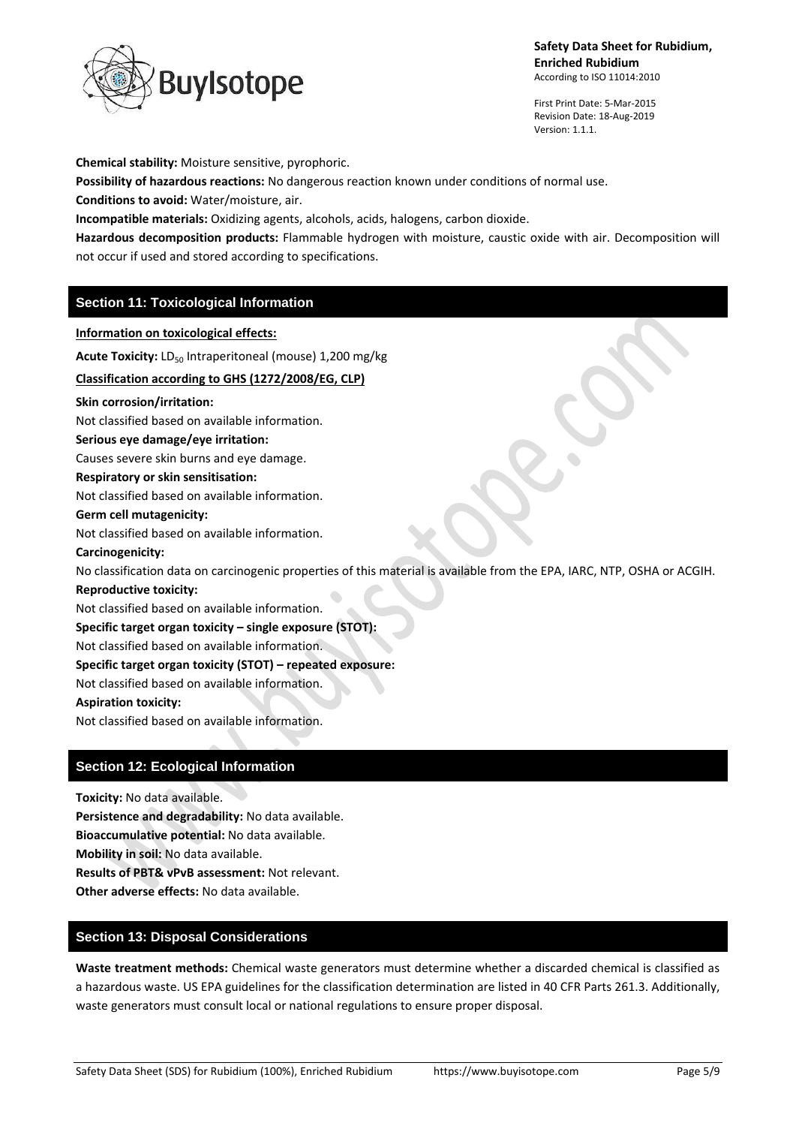

First Print Date: 5-Mar-2015 Revision Date: 18-Aug-2019 Version: 1.1.1.

**Chemical stability:** Moisture sensitive, pyrophoric.

**Possibility of hazardous reactions:** No dangerous reaction known under conditions of normal use.

**Conditions to avoid:** Water/moisture, air.

**Incompatible materials:** Oxidizing agents, alcohols, acids, halogens, carbon dioxide.

**Hazardous decomposition products:** Flammable hydrogen with moisture, caustic oxide with air. Decomposition will not occur if used and stored according to specifications.

# **Section 11: Toxicological Information**

**Information on toxicological effects:** Acute Toxicity: LD<sub>50</sub> Intraperitoneal (mouse) 1,200 mg/kg **Classification according to GHS (1272/2008/EG, CLP) Skin corrosion/irritation:** Not classified based on available information. **Serious eye damage/eye irritation:** Causes severe skin burns and eye damage. **Respiratory or skin sensitisation:** Not classified based on available information. **Germ cell mutagenicity:** Not classified based on available information. **Carcinogenicity:** No classification data on carcinogenic properties of this material is available from the EPA, IARC, NTP, OSHA or ACGIH. **Reproductive toxicity:** Not classified based on available information. **Specific target organ toxicity – single exposure (STOT):** Not classified based on available information. **Specific target organ toxicity (STOT) – repeated exposure:** Not classified based on available information. **Aspiration toxicity:**

Not classified based on available information.

# **Section 12: Ecological Information**

**Toxicity:** No data available. **Persistence and degradability:** No data available. **Bioaccumulative potential:** No data available. **Mobility in soil:** No data available. **Results of PBT& vPvB assessment:** Not relevant. **Other adverse effects:** No data available.

# **Section 13: Disposal Considerations**

**Waste treatment methods:** Chemical waste generators must determine whether a discarded chemical is classified as a hazardous waste. US EPA guidelines for the classification determination are listed in 40 CFR Parts 261.3. Additionally, waste generators must consult local or national regulations to ensure proper disposal.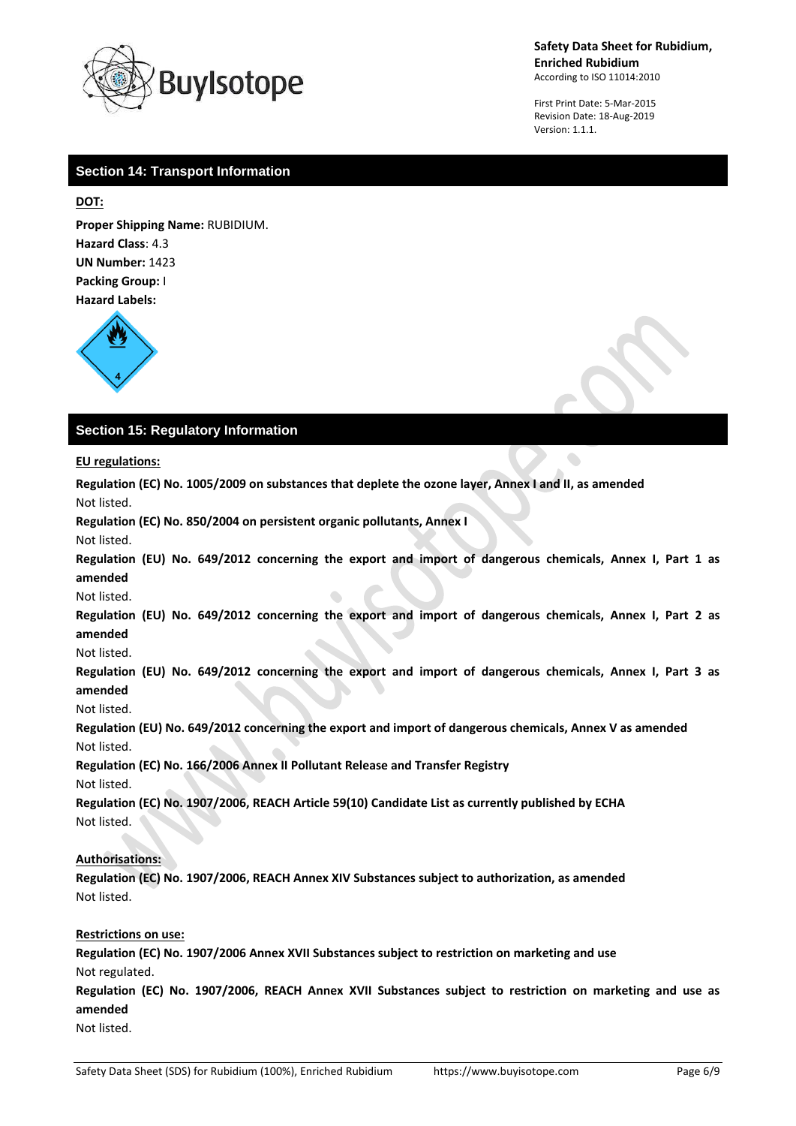

First Print Date: 5-Mar-2015 Revision Date: 18-Aug-2019 Version: 1.1.1.

 $\bullet$ 

# **Section 14: Transport Information**

# **DOT:**

**Proper Shipping Name:** RUBIDIUM. **Hazard Class**: 4.3 **UN Number:** 1423 **Packing Group:** I **Hazard Labels:** 



# **Section 15: Regulatory Information**

**EU regulations:**

**Regulation (EC) No. 1005/2009 on substances that deplete the ozone layer, Annex I and II, as amended** Not listed.

**Regulation (EC) No. 850/2004 on persistent organic pollutants, Annex I**

Not listed.

**Regulation (EU) No. 649/2012 concerning the export and import of dangerous chemicals, Annex I, Part 1 as amended**

Not listed.

**Regulation (EU) No. 649/2012 concerning the export and import of dangerous chemicals, Annex I, Part 2 as amended**

Not listed.

**Regulation (EU) No. 649/2012 concerning the export and import of dangerous chemicals, Annex I, Part 3 as amended**

Not listed.

**Regulation (EU) No. 649/2012 concerning the export and import of dangerous chemicals, Annex V as amended** Not listed.

**Regulation (EC) No. 166/2006 Annex II Pollutant Release and Transfer Registry**

Not listed.

**Regulation (EC) No. 1907/2006, REACH Article 59(10) Candidate List as currently published by ECHA** Not listed.

# **Authorisations:**

**Regulation (EC) No. 1907/2006, REACH Annex XIV Substances subject to authorization, as amended** Not listed.

## **Restrictions on use:**

**Regulation (EC) No. 1907/2006 Annex XVII Substances subject to restriction on marketing and use** Not regulated. **Regulation (EC) No. 1907/2006, REACH Annex XVII Substances subject to restriction on marketing and use as amended** Not listed.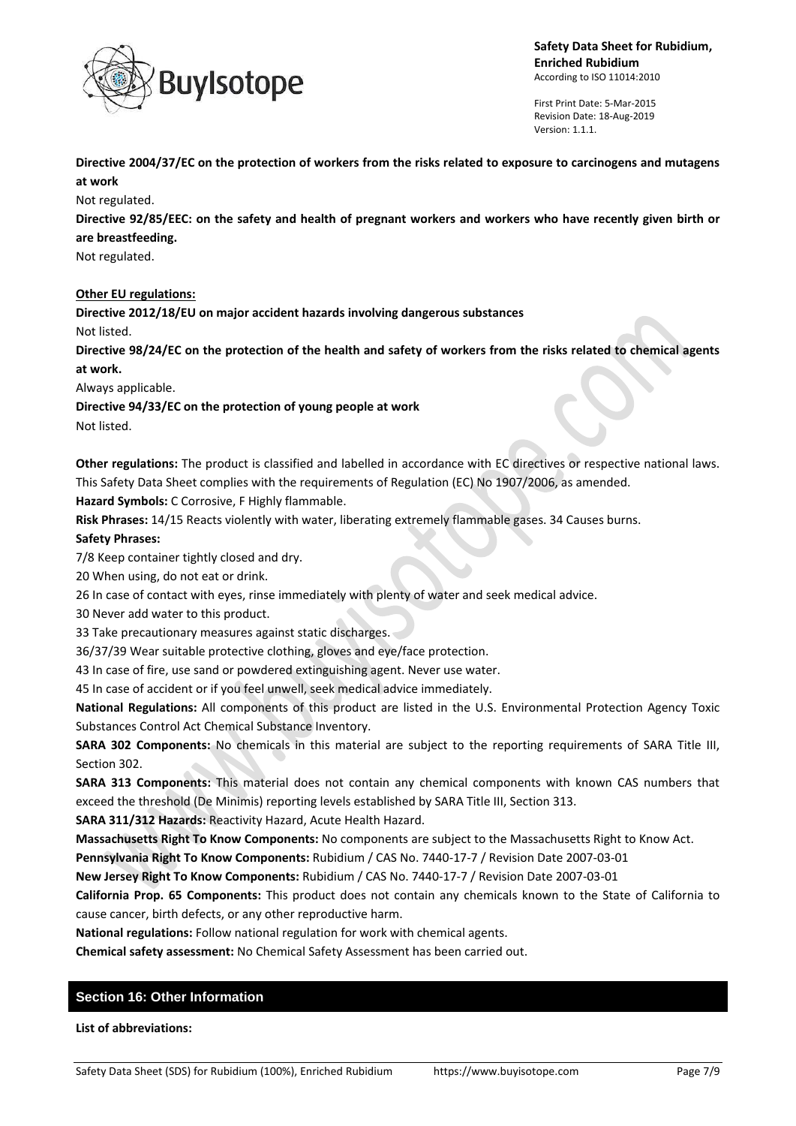

First Print Date: 5-Mar-2015 Revision Date: 18-Aug-2019 Version: 1.1.1.

**Directive 2004/37/EC on the protection of workers from the risks related to exposure to carcinogens and mutagens at work**

Not regulated.

**Directive 92/85/EEC: on the safety and health of pregnant workers and workers who have recently given birth or are breastfeeding.**

Not regulated.

**Other EU regulations:**

**Directive 2012/18/EU on major accident hazards involving dangerous substances**

Not listed.

**Directive 98/24/EC on the protection of the health and safety of workers from the risks related to chemical agents at work.**

Always applicable.

**Directive 94/33/EC on the protection of young people at work**

Not listed.

**Other regulations:** The product is classified and labelled in accordance with EC directives or respective national laws. This Safety Data Sheet complies with the requirements of Regulation (EC) No 1907/2006, as amended.

**Hazard Symbols:** C Corrosive, F Highly flammable.

**Risk Phrases:** 14/15 Reacts violently with water, liberating extremely flammable gases. 34 Causes burns.

# **Safety Phrases:**

7/8 Keep container tightly closed and dry.

20 When using, do not eat or drink.

26 In case of contact with eyes, rinse immediately with plenty of water and seek medical advice.

30 Never add water to this product.

33 Take precautionary measures against static discharges.

36/37/39 Wear suitable protective clothing, gloves and eye/face protection.

43 In case of fire, use sand or powdered extinguishing agent. Never use water.

45 In case of accident or if you feel unwell, seek medical advice immediately.

**National Regulations:** All components of this product are listed in the U.S. Environmental Protection Agency Toxic Substances Control Act Chemical Substance Inventory.

**SARA 302 Components:** No chemicals in this material are subject to the reporting requirements of SARA Title III, Section 302.

**SARA 313 Components:** This material does not contain any chemical components with known CAS numbers that exceed the threshold (De Minimis) reporting levels established by SARA Title III, Section 313.

**SARA 311/312 Hazards:** Reactivity Hazard, Acute Health Hazard.

**Massachusetts Right To Know Components:** No components are subject to the Massachusetts Right to Know Act.

**Pennsylvania Right To Know Components:** Rubidium / CAS No. 7440-17-7 / Revision Date 2007-03-01

**New Jersey Right To Know Components:** Rubidium / CAS No. 7440-17-7 / Revision Date 2007-03-01

**California Prop. 65 Components:** This product does not contain any chemicals known to the State of California to cause cancer, birth defects, or any other reproductive harm.

**National regulations:** Follow national regulation for work with chemical agents.

**Chemical safety assessment:** No Chemical Safety Assessment has been carried out.

# **Section 16: Other Information**

**List of abbreviations:**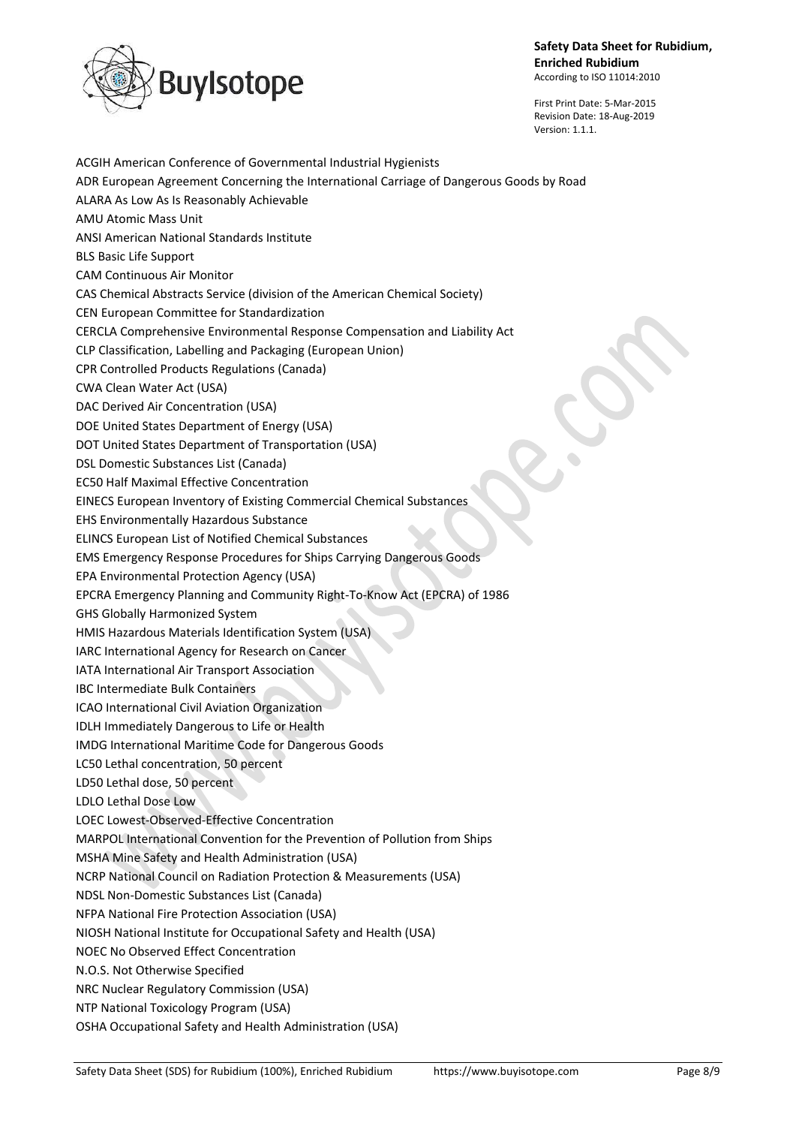

First Print Date: 5-Mar-2015 Revision Date: 18-Aug-2019 Version: 1.1.1.

ACGIH American Conference of Governmental Industrial Hygienists ADR European Agreement Concerning the International Carriage of Dangerous Goods by Road ALARA As Low As Is Reasonably Achievable AMU Atomic Mass Unit ANSI American National Standards Institute BLS Basic Life Support CAM Continuous Air Monitor CAS Chemical Abstracts Service (division of the American Chemical Society) CEN European Committee for Standardization CERCLA Comprehensive Environmental Response Compensation and Liability Act CLP Classification, Labelling and Packaging (European Union) CPR Controlled Products Regulations (Canada) CWA Clean Water Act (USA) DAC Derived Air Concentration (USA) DOE United States Department of Energy (USA) DOT United States Department of Transportation (USA) DSL Domestic Substances List (Canada) EC50 Half Maximal Effective Concentration EINECS European Inventory of Existing Commercial Chemical Substances EHS Environmentally Hazardous Substance ELINCS European List of Notified Chemical Substances EMS Emergency Response Procedures for Ships Carrying Dangerous Goods EPA Environmental Protection Agency (USA) EPCRA Emergency Planning and Community Right-To-Know Act (EPCRA) of 1986 GHS Globally Harmonized System HMIS Hazardous Materials Identification System (USA) IARC International Agency for Research on Cancer IATA International Air Transport Association IBC Intermediate Bulk Containers ICAO International Civil Aviation Organization IDLH Immediately Dangerous to Life or Health IMDG International Maritime Code for Dangerous Goods LC50 Lethal concentration, 50 percent LD50 Lethal dose, 50 percent LDLO Lethal Dose Low LOEC Lowest-Observed-Effective Concentration MARPOL International Convention for the Prevention of Pollution from Ships MSHA Mine Safety and Health Administration (USA) NCRP National Council on Radiation Protection & Measurements (USA) NDSL Non-Domestic Substances List (Canada) NFPA National Fire Protection Association (USA) NIOSH National Institute for Occupational Safety and Health (USA) NOEC No Observed Effect Concentration N.O.S. Not Otherwise Specified NRC Nuclear Regulatory Commission (USA) NTP National Toxicology Program (USA) OSHA Occupational Safety and Health Administration (USA)